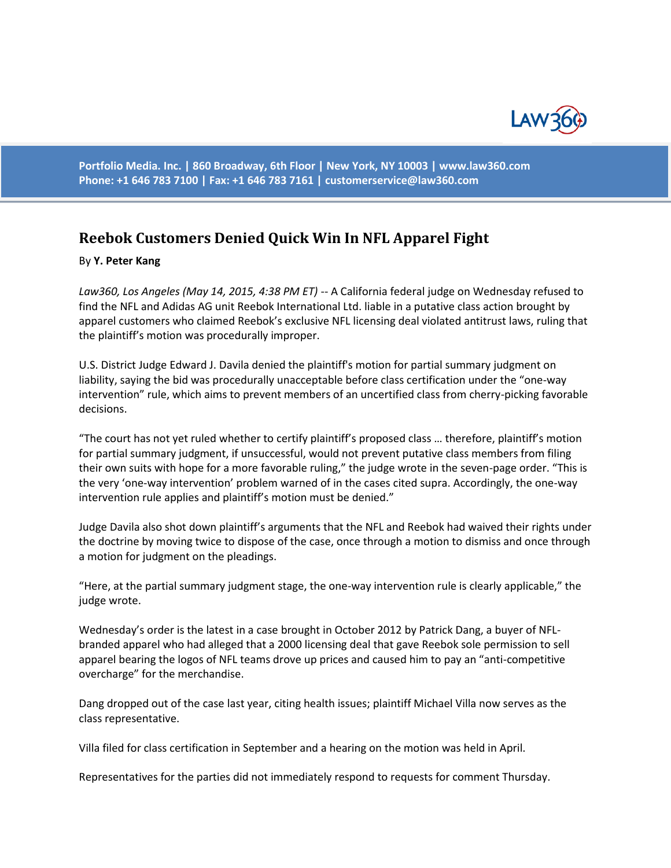

**Portfolio Media. Inc. | 860 Broadway, 6th Floor | New York, NY 10003 | www.law360.com Phone: +1 646 783 7100 | Fax: +1 646 783 7161 | [customerservice@law360.com](mailto:customerservice@law360.com)**

## **Reebok Customers Denied Quick Win In NFL Apparel Fight**

## By **Y. Peter Kang**

*Law360, Los Angeles (May 14, 2015, 4:38 PM ET)* -- A California federal judge on Wednesday refused to find the NFL and Adidas AG unit Reebok International Ltd. liable in a putative class action brought by apparel customers who claimed Reebok's exclusive NFL licensing deal violated antitrust laws, ruling that the plaintiff's motion was procedurally improper.

U.S. District Judge Edward J. Davila denied the plaintiff's motion for partial summary judgment on liability, saying the bid was procedurally unacceptable before class certification under the "one-way intervention" rule, which aims to prevent members of an uncertified class from cherry-picking favorable decisions.

"The court has not yet ruled whether to certify plaintiff's proposed class … therefore, plaintiff's motion for partial summary judgment, if unsuccessful, would not prevent putative class members from filing their own suits with hope for a more favorable ruling," the judge wrote in the seven-page order. "This is the very 'one-way intervention' problem warned of in the cases cited supra. Accordingly, the one-way intervention rule applies and plaintiff's motion must be denied."

Judge Davila also shot down plaintiff's arguments that the NFL and Reebok had waived their rights under the doctrine by moving twice to dispose of the case, once through a motion to dismiss and once through a motion for judgment on the pleadings.

"Here, at the partial summary judgment stage, the one-way intervention rule is clearly applicable," the judge wrote.

Wednesday's order is the latest in a case brought in October 2012 by Patrick Dang, a buyer of NFLbranded apparel who had alleged that a 2000 licensing deal that gave Reebok sole permission to sell apparel bearing the logos of NFL teams drove up prices and caused him to pay an "anti-competitive overcharge" for the merchandise.

Dang dropped out of the case last year, citing health issues; plaintiff Michael Villa now serves as the class representative.

Villa filed for class certification in September and a hearing on the motion was held in April.

Representatives for the parties did not immediately respond to requests for comment Thursday.